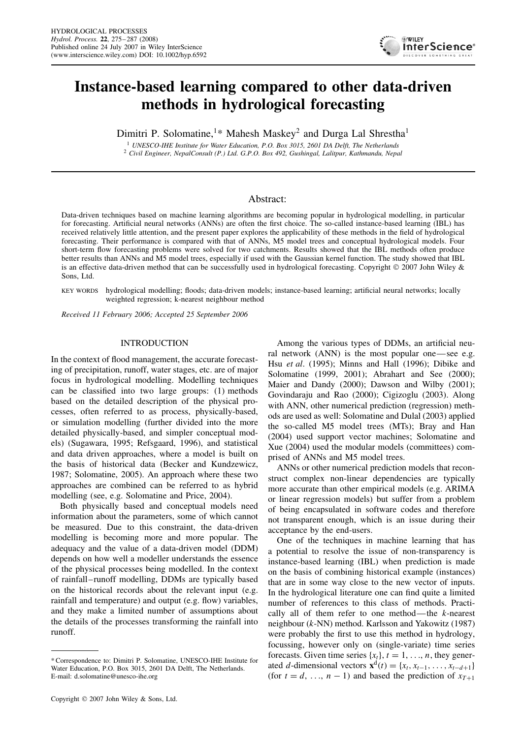# **Instance-based learning compared to other data-driven methods in hydrological forecasting**

Dimitri P. Solomatine,<sup>1\*</sup> Mahesh Maskey<sup>2</sup> and Durga Lal Shrestha<sup>1</sup>

<sup>1</sup> *UNESCO-IHE Institute for Water Education, P.O. Box 3015, 2601 DA Delft, The Netherlands* <sup>2</sup> *Civil Engineer, NepalConsult (P.) Ltd. G.P.O. Box 492, Gushingal, Lalitpur, Kathmandu, Nepal*

# Abstract:

Data-driven techniques based on machine learning algorithms are becoming popular in hydrological modelling, in particular for forecasting. Artificial neural networks (ANNs) are often the first choice. The so-called instance-based learning (IBL) has received relatively little attention, and the present paper explores the applicability of these methods in the field of hydrological forecasting. Their performance is compared with that of ANNs, M5 model trees and conceptual hydrological models. Four short-term flow forecasting problems were solved for two catchments. Results showed that the IBL methods often produce better results than ANNs and M5 model trees, especially if used with the Gaussian kernel function. The study showed that IBL is an effective data-driven method that can be successfully used in hydrological forecasting. Copyright  $© 2007$  John Wiley & Sons, Ltd.

KEY WORDS hydrological modelling; floods; data-driven models; instance-based learning; artificial neural networks; locally weighted regression; k-nearest neighbour method

*Received 11 February 2006; Accepted 25 September 2006*

## INTRODUCTION

In the context of flood management, the accurate forecasting of precipitation, runoff, water stages, etc. are of major focus in hydrological modelling. Modelling techniques can be classified into two large groups: (1) methods based on the detailed description of the physical processes, often referred to as process, physically-based, or simulation modelling (further divided into the more detailed physically-based, and simpler conceptual models) (Sugawara, 1995; Refsgaard, 1996), and statistical and data driven approaches, where a model is built on the basis of historical data (Becker and Kundzewicz, 1987; Solomatine, 2005). An approach where these two approaches are combined can be referred to as hybrid modelling (see, e.g. Solomatine and Price, 2004).

Both physically based and conceptual models need information about the parameters, some of which cannot be measured. Due to this constraint, the data-driven modelling is becoming more and more popular. The adequacy and the value of a data-driven model (DDM) depends on how well a modeller understands the essence of the physical processes being modelled. In the context of rainfall–runoff modelling, DDMs are typically based on the historical records about the relevant input (e.g. rainfall and temperature) and output (e.g. flow) variables, and they make a limited number of assumptions about the details of the processes transforming the rainfall into runoff.

Among the various types of DDMs, an artificial neural network (ANN) is the most popular one—see e.g. Hsu *et al*. (1995); Minns and Hall (1996); Dibike and Solomatine (1999, 2001); Abrahart and See (2000); Maier and Dandy (2000); Dawson and Wilby (2001); Govindaraju and Rao (2000); Cigizoglu (2003). Along with ANN, other numerical prediction (regression) methods are used as well: Solomatine and Dulal (2003) applied the so-called M5 model trees (MTs); Bray and Han (2004) used support vector machines; Solomatine and Xue (2004) used the modular models (committees) comprised of ANNs and M5 model trees.

ANNs or other numerical prediction models that reconstruct complex non-linear dependencies are typically more accurate than other empirical models (e.g. ARIMA or linear regression models) but suffer from a problem of being encapsulated in software codes and therefore not transparent enough, which is an issue during their acceptance by the end-users.

One of the techniques in machine learning that has a potential to resolve the issue of non-transparency is instance-based learning (IBL) when prediction is made on the basis of combining historical example (instances) that are in some way close to the new vector of inputs. In the hydrological literature one can find quite a limited number of references to this class of methods. Practically all of them refer to one method—the  $k$ -nearest neighbour (k-NN) method. Karlsson and Yakowitz (1987) were probably the first to use this method in hydrology, focussing, however only on (single-variate) time series forecasts. Given time series  $\{x_t\}, t = 1, \ldots, n$ , they generated *d*-dimensional vectors  $\mathbf{x}^d(t) = \{x_t, x_{t-1}, \ldots, x_{t-d+1}\}\$ (for  $t = d, \ldots, n - 1$ ) and based the prediction of  $x_{T+1}$ 

<sup>\*</sup> Correspondence to: Dimitri P. Solomatine, UNESCO-IHE Institute for Water Education, P.O. Box 3015, 2601 DA Delft, The Netherlands. E-mail: d.solomatine@unesco-ihe.org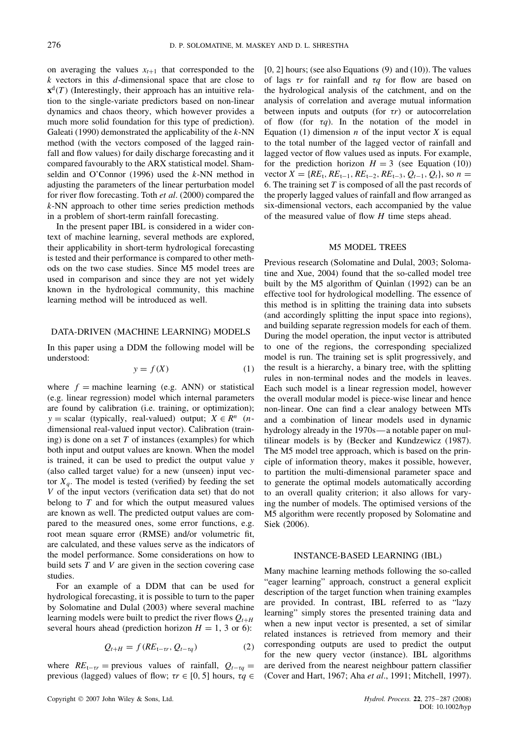on averaging the values  $x_{t+1}$  that corresponded to the  $k$  vectors in this  $d$ -dimensional space that are close to  $\mathbf{x}^d$ (*T*) (Interestingly, their approach has an intuitive relation to the single-variate predictors based on non-linear dynamics and chaos theory, which however provides a much more solid foundation for this type of prediction). Galeati (1990) demonstrated the applicability of the  $k$ -NN method (with the vectors composed of the lagged rainfall and flow values) for daily discharge forecasting and it compared favourably to the ARX statistical model. Shamseldin and O'Connor (1996) used the k-NN method in adjusting the parameters of the linear perturbation model for river flow forecasting. Toth *et al*. (2000) compared the k-NN approach to other time series prediction methods in a problem of short-term rainfall forecasting.

In the present paper IBL is considered in a wider context of machine learning, several methods are explored, their applicability in short-term hydrological forecasting is tested and their performance is compared to other methods on the two case studies. Since M5 model trees are used in comparison and since they are not yet widely known in the hydrological community, this machine learning method will be introduced as well.

#### DATA-DRIVEN (MACHINE LEARNING) MODELS

In this paper using a DDM the following model will be understood:

$$
y = f(X) \tag{1}
$$

where  $f$  = machine learning (e.g. ANN) or statistical (e.g. linear regression) model which internal parameters are found by calibration (i.e. training, or optimization);  $y = scalar$  (typically, real-valued) output;  $X \in \mathbb{R}^n$  (ndimensional real-valued input vector). Calibration (training) is done on a set  $T$  of instances (examples) for which both input and output values are known. When the model is trained, it can be used to predict the output value y (also called target value) for a new (unseen) input vector  $X_a$ . The model is tested (verified) by feeding the set V of the input vectors (verification data set) that do not belong to  $T$  and for which the output measured values are known as well. The predicted output values are compared to the measured ones, some error functions, e.g. root mean square error (RMSE) and/or volumetric fit, are calculated, and these values serve as the indicators of the model performance. Some considerations on how to build sets  $T$  and  $V$  are given in the section covering case studies.

For an example of a DDM that can be used for hydrological forecasting, it is possible to turn to the paper by Solomatine and Dulal (2003) where several machine learning models were built to predict the river flows  $Q_{t+H}$ several hours ahead (prediction horizon  $H = 1, 3$  or 6):

$$
Q_{t+H} = f(RE_{t-\tau r}, Q_{t-\tau q})
$$
 (2)

where  $RE_{t-tr}$  previous values of rainfall,  $Q_{t-\tau q}$  = previous (lagged) values of flow;  $\tau r \in [0, 5]$  hours,  $\tau q \in$  [0, 2] hours; (see also Equations (9) and (10)). The values of lags  $\tau r$  for rainfall and  $\tau q$  for flow are based on the hydrological analysis of the catchment, and on the analysis of correlation and average mutual information between inputs and outputs (for  $\tau r$ ) or autocorrelation of flow (for  $\tau q$ ). In the notation of the model in Equation (1) dimension *n* of the input vector *X* is equal to the total number of the lagged vector of rainfall and lagged vector of flow values used as inputs. For example, for the prediction horizon  $H = 3$  (see Equation (10)) vector  $X = \{RE_t, RE_{t-1}, RE_{t-2}, RE_{t-3}, Q_{t-1}, Q_t\}$ , so  $n =$ 6. The training set  $T$  is composed of all the past records of the properly lagged values of rainfall and flow arranged as six-dimensional vectors, each accompanied by the value of the measured value of flow  $H$  time steps ahead.

#### M5 MODEL TREES

Previous research (Solomatine and Dulal, 2003; Solomatine and Xue, 2004) found that the so-called model tree built by the M5 algorithm of Quinlan (1992) can be an effective tool for hydrological modelling. The essence of this method is in splitting the training data into subsets (and accordingly splitting the input space into regions), and building separate regression models for each of them. During the model operation, the input vector is attributed to one of the regions, the corresponding specialized model is run. The training set is split progressively, and the result is a hierarchy, a binary tree, with the splitting rules in non-terminal nodes and the models in leaves. Each such model is a linear regression model, however the overall modular model is piece-wise linear and hence non-linear. One can find a clear analogy between MTs and a combination of linear models used in dynamic hydrology already in the 1970s—a notable paper on multilinear models is by (Becker and Kundzewicz (1987). The M5 model tree approach, which is based on the principle of information theory, makes it possible, however, to partition the multi-dimensional parameter space and to generate the optimal models automatically according to an overall quality criterion; it also allows for varying the number of models. The optimised versions of the M5 algorithm were recently proposed by Solomatine and Siek (2006).

#### INSTANCE-BASED LEARNING (IBL)

Many machine learning methods following the so-called "eager learning" approach, construct a general explicit description of the target function when training examples are provided. In contrast, IBL referred to as "lazy learning" simply stores the presented training data and when a new input vector is presented, a set of similar related instances is retrieved from memory and their corresponding outputs are used to predict the output for the new query vector (instance). IBL algorithms are derived from the nearest neighbour pattern classifier (Cover and Hart, 1967; Aha *et al*., 1991; Mitchell, 1997).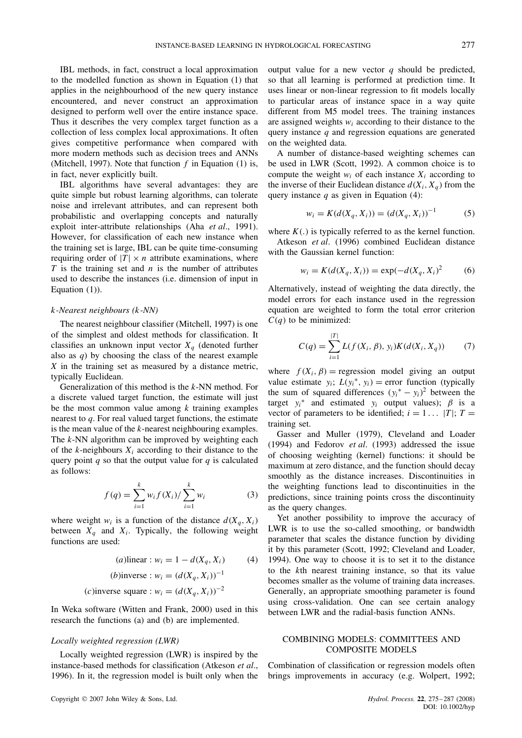IBL methods, in fact, construct a local approximation to the modelled function as shown in Equation (1) that applies in the neighbourhood of the new query instance encountered, and never construct an approximation designed to perform well over the entire instance space. Thus it describes the very complex target function as a collection of less complex local approximations. It often gives competitive performance when compared with more modern methods such as decision trees and ANNs (Mitchell, 1997). Note that function  $f$  in Equation (1) is, in fact, never explicitly built.

IBL algorithms have several advantages: they are quite simple but robust learning algorithms, can tolerate noise and irrelevant attributes, and can represent both probabilistic and overlapping concepts and naturally exploit inter-attribute relationships (Aha *et al*., 1991). However, for classification of each new instance when the training set is large, IBL can be quite time-consuming requiring order of  $|T| \times n$  attribute examinations, where  $T$  is the training set and  $n$  is the number of attributes used to describe the instances (i.e. dimension of input in Equation (1)).

#### *k -Nearest neighbours (k -NN)*

The nearest neighbour classifier (Mitchell, 1997) is one of the simplest and oldest methods for classification. It classifies an unknown input vector  $X_q$  (denoted further also as  $q$ ) by choosing the class of the nearest example X in the training set as measured by a distance metric, typically Euclidean.

Generalization of this method is the k-NN method. For a discrete valued target function, the estimate will just be the most common value among  $k$  training examples nearest to q. For real valued target functions, the estimate is the mean value of the k-nearest neighbouring examples. The k-NN algorithm can be improved by weighting each of the k-neighbours  $X_i$  according to their distance to the query point  $q$  so that the output value for  $q$  is calculated as follows:

$$
f(q) = \sum_{i=1}^{k} w_i f(X_i) / \sum_{i=1}^{k} w_i
$$
 (3)

where weight  $w_i$  is a function of the distance  $d(X_q, X_i)$ between  $X_q$  and  $X_i$ . Typically, the following weight functions are used:

(a)linear : 
$$
w_i = 1 - d(X_q, X_i)
$$
 (4)  
\n(b)inverse :  $w_i = (d(X_q, X_i))^{-1}$   
\n(c)inverse square :  $w_i = (d(X_q, X_i))^{-2}$ 

In Weka software (Witten and Frank, 2000) used in this research the functions (a) and (b) are implemented.

#### *Locally weighted regression (LWR)*

Locally weighted regression (LWR) is inspired by the instance-based methods for classification (Atkeson *et al*., 1996). In it, the regression model is built only when the

output value for a new vector  $q$  should be predicted, so that all learning is performed at prediction time. It uses linear or non-linear regression to fit models locally to particular areas of instance space in a way quite different from M5 model trees. The training instances are assigned weights  $w_i$  according to their distance to the query instance  $q$  and regression equations are generated on the weighted data.

A number of distance-based weighting schemes can be used in LWR (Scott, 1992). A common choice is to compute the weight  $w_i$  of each instance  $X_i$  according to the inverse of their Euclidean distance  $d(X_i, X_q)$  from the query instance  $q$  as given in Equation (4):

$$
w_i = K(d(X_q, X_i)) = (d(X_q, X_i))^{-1}
$$
 (5)

where  $K(.)$  is typically referred to as the kernel function. Atkeson *et al*. (1996) combined Euclidean distance

with the Gaussian kernel function:

$$
w_i = K(d(X_q, X_i)) = \exp(-d(X_q, X_i)^2)
$$
 (6)

Alternatively, instead of weighting the data directly, the model errors for each instance used in the regression equation are weighted to form the total error criterion  $C(q)$  to be minimized:

$$
C(q) = \sum_{i=1}^{|T|} L(f(X_i, \beta), y_i) K(d(X_i, X_q)) \tag{7}
$$

where  $f(X_i, \beta)$  = regression model giving an output value estimate  $y_i$ ;  $L(y_i^*, y_i)$  = error function (typically the sum of squared differences  $(y_i^* - y_i)^2$  between the target  $y_i^*$  and estimated  $y_i$  output values);  $\beta$  is a vector of parameters to be identified;  $i = 1 ... |T|$ ; T = training set.

Gasser and Muller (1979), Cleveland and Loader (1994) and Fedorov *et al*. (1993) addressed the issue of choosing weighting (kernel) functions: it should be maximum at zero distance, and the function should decay smoothly as the distance increases. Discontinuities in the weighting functions lead to discontinuities in the predictions, since training points cross the discontinuity as the query changes.

Yet another possibility to improve the accuracy of LWR is to use the so-called smoothing, or bandwidth parameter that scales the distance function by dividing it by this parameter (Scott, 1992; Cleveland and Loader, 1994). One way to choose it is to set it to the distance to the kth nearest training instance, so that its value becomes smaller as the volume of training data increases. Generally, an appropriate smoothing parameter is found using cross-validation. One can see certain analogy between LWR and the radial-basis function ANNs.

## COMBINING MODELS: COMMITTEES AND COMPOSITE MODELS

Combination of classification or regression models often brings improvements in accuracy (e.g. Wolpert, 1992;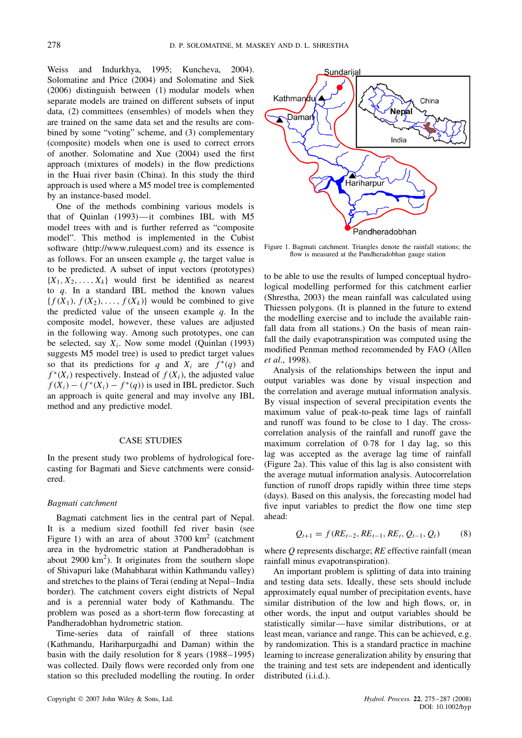Weiss and Indurkhya, 1995; Kuncheva, 2004). Solomatine and Price (2004) and Solomatine and Siek (2006) distinguish between (1) modular models when separate models are trained on different subsets of input data, (2) committees (ensembles) of models when they are trained on the same data set and the results are combined by some "voting" scheme, and (3) complementary (composite) models when one is used to correct errors of another. Solomatine and Xue (2004) used the first approach (mixtures of models) in the flow predictions in the Huai river basin (China). In this study the third approach is used where a M5 model tree is complemented by an instance-based model.

One of the methods combining various models is that of Quinlan (1993)—it combines IBL with M5 model trees with and is further referred as "composite model". This method is implemented in the Cubist software (http://www.rulequest.com) and its essence is as follows. For an unseen example  $q$ , the target value is to be predicted. A subset of input vectors (prototypes)  $\{X_1, X_2, \ldots, X_k\}$  would first be identified as nearest to q. In a standard IBL method the known values  $\{f(X_1), f(X_2), \ldots, f(X_k)\}\$  would be combined to give the predicted value of the unseen example  $q$ . In the composite model, however, these values are adjusted in the following way. Among such prototypes, one can be selected, say  $X_i$ . Now some model (Quinlan (1993) suggests M5 model tree) is used to predict target values so that its predictions for q and  $X_i$  are  $f^*(q)$  and  $f^*(X_i)$  respectively. Instead of  $f(X_i)$ , the adjusted value  $f(X_i) - (f^*(X_i) - f^*(q))$  is used in IBL predictor. Such an approach is quite general and may involve any IBL method and any predictive model.

## CASE STUDIES

In the present study two problems of hydrological forecasting for Bagmati and Sieve catchments were considered.

## *Bagmati catchment*

Bagmati catchment lies in the central part of Nepal. It is a medium sized foothill fed river basin (see Figure 1) with an area of about  $3700 \text{ km}^2$  (catchment area in the hydrometric station at Pandheradobhan is about 2900  $\text{km}^2$ ). It originates from the southern slope of Shivapuri lake (Mahabharat within Kathmandu valley) and stretches to the plains of Terai (ending at Nepal–India border). The catchment covers eight districts of Nepal and is a perennial water body of Kathmandu. The problem was posed as a short-term flow forecasting at Pandheradobhan hydrometric station.

Time-series data of rainfall of three stations (Kathmandu, Hariharpurgadhi and Daman) within the basin with the daily resolution for 8 years (1988–1995) was collected. Daily flows were recorded only from one station so this precluded modelling the routing. In order



Figure 1. Bagmati catchment. Triangles denote the rainfall stations; the flow is measured at the Pandheradobhan gauge station

to be able to use the results of lumped conceptual hydrological modelling performed for this catchment earlier (Shrestha, 2003) the mean rainfall was calculated using Thiessen polygons. (It is planned in the future to extend the modelling exercise and to include the available rainfall data from all stations.) On the basis of mean rainfall the daily evapotranspiration was computed using the modified Penman method recommended by FAO (Allen *et al*., 1998).

Analysis of the relationships between the input and output variables was done by visual inspection and the correlation and average mutual information analysis. By visual inspection of several precipitation events the maximum value of peak-to-peak time lags of rainfall and runoff was found to be close to 1 day. The crosscorrelation analysis of the rainfall and runoff gave the maximum correlation of 0.78 for 1 day lag, so this lag was accepted as the average lag time of rainfall (Figure 2a). This value of this lag is also consistent with the average mutual information analysis. Autocorrelation function of runoff drops rapidly within three time steps (days). Based on this analysis, the forecasting model had five input variables to predict the flow one time step ahead:

$$
Q_{t+1} = f(RE_{t-2}, RE_{t-1}, RE_t, Q_{t-1}, Q_t)
$$
 (8)

where Q represents discharge; *RE* effective rainfall (mean rainfall minus evapotranspiration).

An important problem is splitting of data into training and testing data sets. Ideally, these sets should include approximately equal number of precipitation events, have similar distribution of the low and high flows, or, in other words, the input and output variables should be statistically similar—have similar distributions, or at least mean, variance and range. This can be achieved, e.g. by randomization. This is a standard practice in machine learning to increase generalization ability by ensuring that the training and test sets are independent and identically distributed (i.i.d.).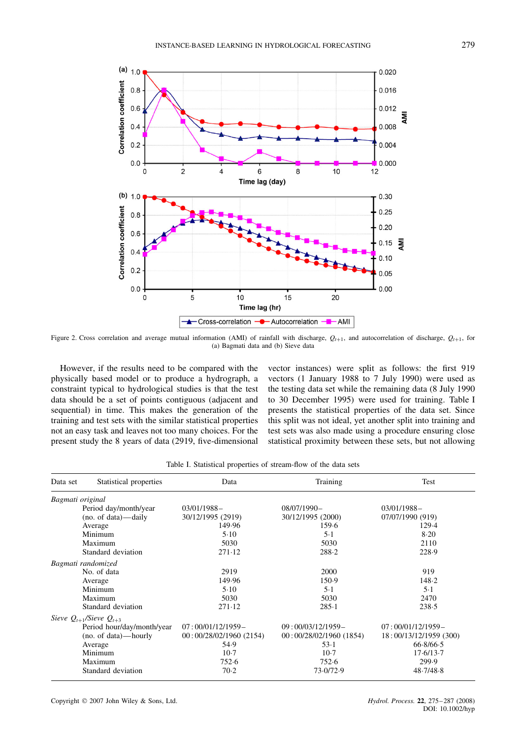

Figure 2. Cross correlation and average mutual information (AMI) of rainfall with discharge,  $Q_{t+1}$ , and autocorrelation of discharge,  $Q_{t+1}$ , for (a) Bagmati data and (b) Sieve data

However, if the results need to be compared with the physically based model or to produce a hydrograph, a constraint typical to hydrological studies is that the test data should be a set of points contiguous (adjacent and sequential) in time. This makes the generation of the training and test sets with the similar statistical properties not an easy task and leaves not too many choices. For the present study the 8 years of data (2919, five-dimensional vector instances) were split as follows: the first 919 vectors (1 January 1988 to 7 July 1990) were used as the testing data set while the remaining data (8 July 1990 to 30 December 1995) were used for training. Table I presents the statistical properties of the data set. Since this split was not ideal, yet another split into training and test sets was also made using a procedure ensuring close statistical proximity between these sets, but not allowing

| Data set         | Statistical properties           | Data                   | Training               | Test                   |
|------------------|----------------------------------|------------------------|------------------------|------------------------|
| Bagmati original |                                  |                        |                        |                        |
|                  | Period day/month/year            | $03/01/1988-$          | 08/07/1990-            | $03/01/1988-$          |
|                  | $(no. of data)$ —daily           | 30/12/1995 (2919)      | 30/12/1995 (2000)      | 07/07/1990 (919)       |
|                  | Average                          | 149.96                 | 159.6                  | 129.4                  |
|                  | Minimum                          | 5.10                   | $5-1$                  | 8.20                   |
|                  | Maximum                          | 5030                   | 5030                   | 2110                   |
|                  | Standard deviation               | 271.12                 | 288.2                  | 228.9                  |
|                  | Bagmati randomized               |                        |                        |                        |
|                  | No. of data                      | 2919                   | 2000                   | 919                    |
|                  | Average                          | 149.96                 | 150.9                  | 148.2                  |
|                  | Minimum                          | 5.10                   | $5-1$                  | $5-1$                  |
|                  | Maximum                          | 5030                   | 5030                   | 2470                   |
|                  | Standard deviation               | 271.12                 | 285.1                  | 238.5                  |
|                  | Sieve $Q_{t+1}/S$ ieve $Q_{t+3}$ |                        |                        |                        |
|                  | Period hour/day/month/year       | $07:00/01/12/1959-$    | $09:00/03/12/1959-$    | $07:00/01/12/1959-$    |
|                  | $(no. of data)$ —hourly          | 00:00/28/02/1960(2154) | 00:00/28/02/1960(1854) | 18:00/13/12/1959 (300) |
|                  | Average                          | 54.9                   | $53-1$                 | 66.8/66.5              |
|                  | Minimum                          | $10-7$                 | $10-7$                 | 17.6/13.7              |
|                  | Maximum                          | 752.6                  | 752.6                  | 299.9                  |
|                  | Standard deviation               | 70.2                   | 73.0/72.9              | 48.7/48.8              |

Table I. Statistical properties of stream-flow of the data sets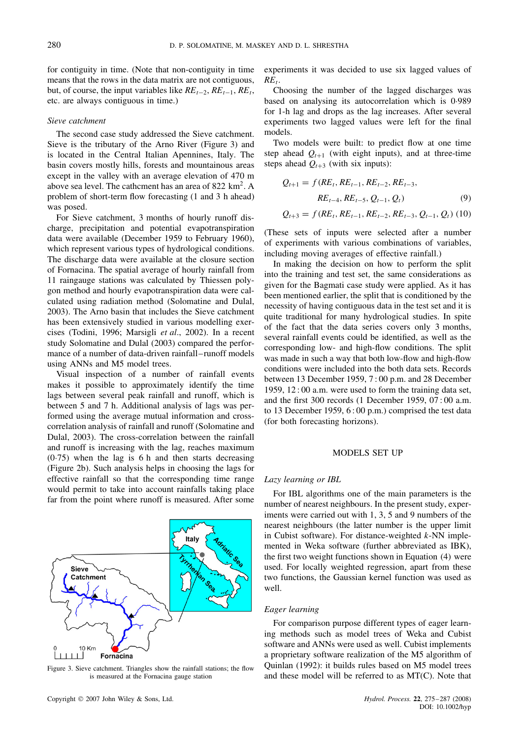for contiguity in time. (Note that non-contiguity in time means that the rows in the data matrix are not contiguous, but, of course, the input variables like  $RE_{t-2}$ ,  $RE_{t-1}$ ,  $RE_{t}$ , etc. are always contiguous in time.)

#### *Sieve catchment*

The second case study addressed the Sieve catchment. Sieve is the tributary of the Arno River (Figure 3) and is located in the Central Italian Apennines, Italy. The basin covers mostly hills, forests and mountainous areas except in the valley with an average elevation of 470 m above sea level. The cathement has an area of  $822 \text{ km}^2$ . A problem of short-term flow forecasting (1 and 3 h ahead) was posed.

For Sieve catchment, 3 months of hourly runoff discharge, precipitation and potential evapotranspiration data were available (December 1959 to February 1960), which represent various types of hydrological conditions. The discharge data were available at the closure section of Fornacina. The spatial average of hourly rainfall from 11 raingauge stations was calculated by Thiessen polygon method and hourly evapotranspiration data were calculated using radiation method (Solomatine and Dulal, 2003). The Arno basin that includes the Sieve catchment has been extensively studied in various modelling exercises (Todini, 1996; Marsigli *et al*., 2002). In a recent study Solomatine and Dulal (2003) compared the performance of a number of data-driven rainfall–runoff models using ANNs and M5 model trees.

Visual inspection of a number of rainfall events makes it possible to approximately identify the time lags between several peak rainfall and runoff, which is between 5 and 7 h. Additional analysis of lags was performed using the average mutual information and crosscorrelation analysis of rainfall and runoff (Solomatine and Dulal, 2003). The cross-correlation between the rainfall and runoff is increasing with the lag, reaches maximum  $(0.75)$  when the lag is 6 h and then starts decreasing (Figure 2b). Such analysis helps in choosing the lags for effective rainfall so that the corresponding time range would permit to take into account rainfalls taking place far from the point where runoff is measured. After some



Figure 3. Sieve catchment. Triangles show the rainfall stations; the flow is measured at the Fornacina gauge station

experiments it was decided to use six lagged values of  $RE_t$ .

Choosing the number of the lagged discharges was based on analysing its autocorrelation which is 0.989 for 1-h lag and drops as the lag increases. After several experiments two lagged values were left for the final models.

Two models were built: to predict flow at one time step ahead  $Q_{t+1}$  (with eight inputs), and at three-time steps ahead  $Q_{t+3}$  (with six inputs):

$$
Q_{t+1} = f(RE_t, RE_{t-1}, RE_{t-2}, RE_{t-3},
$$
  

$$
RE_{t-4}, RE_{t-5}, Q_{t-1}, Q_t)
$$
 (9)

$$
Q_{t+3} = f(RE_t, RE_{t-1}, RE_{t-2}, RE_{t-3}, Q_{t-1}, Q_t)
$$
 (10)

(These sets of inputs were selected after a number of experiments with various combinations of variables, including moving averages of effective rainfall.)

In making the decision on how to perform the split into the training and test set, the same considerations as given for the Bagmati case study were applied. As it has been mentioned earlier, the split that is conditioned by the necessity of having contiguous data in the test set and it is quite traditional for many hydrological studies. In spite of the fact that the data series covers only 3 months, several rainfall events could be identified, as well as the corresponding low- and high-flow conditions. The split was made in such a way that both low-flow and high-flow conditions were included into the both data sets. Records between 13 December 1959, 7 : 00 p.m. and 28 December 1959, 12 : 00 a.m. were used to form the training data set, and the first 300 records (1 December 1959, 07 : 00 a.m. to 13 December 1959, 6 : 00 p.m.) comprised the test data (for both forecasting horizons).

#### MODELS SET UP

#### *Lazy learning or IBL*

For IBL algorithms one of the main parameters is the number of nearest neighbours. In the present study, experiments were carried out with 1, 3, 5 and 9 numbers of the nearest neighbours (the latter number is the upper limit in Cubist software). For distance-weighted  $k$ -NN implemented in Weka software (further abbreviated as IBK), the first two weight functions shown in Equation (4) were used. For locally weighted regression, apart from these two functions, the Gaussian kernel function was used as well.

#### *Eager learning*

For comparison purpose different types of eager learning methods such as model trees of Weka and Cubist software and ANNs were used as well. Cubist implements a proprietary software realization of the M5 algorithm of Quinlan (1992): it builds rules based on M5 model trees and these model will be referred to as MT(C). Note that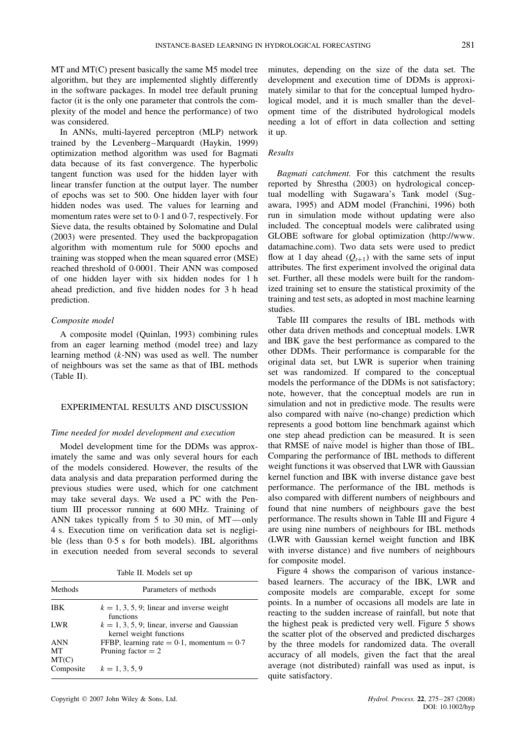MT and MT(C) present basically the same M5 model tree algorithm, but they are implemented slightly differently in the software packages. In model tree default pruning factor (it is the only one parameter that controls the complexity of the model and hence the performance) of two was considered.

In ANNs, multi-layered perceptron (MLP) network trained by the Levenberg–Marquardt (Haykin, 1999) optimization method algorithm was used for Bagmati data because of its fast convergence. The hyperbolic tangent function was used for the hidden layer with linear transfer function at the output layer. The number of epochs was set to 500. One hidden layer with four hidden nodes was used. The values for learning and momentum rates were set to  $0.1$  and  $0.7$ , respectively. For Sieve data, the results obtained by Solomatine and Dulal (2003) were presented. They used the backpropagation algorithm with momentum rule for 5000 epochs and training was stopped when the mean squared error (MSE) reached threshold of 0 $0.0001$ . Their ANN was composed of one hidden layer with six hidden nodes for 1 h ahead prediction, and five hidden nodes for 3 h head prediction.

## *Composite model*

A composite model (Quinlan, 1993) combining rules from an eager learning method (model tree) and lazy learning method (k-NN) was used as well. The number of neighbours was set the same as that of IBL methods (Table II).

# EXPERIMENTAL RESULTS AND DISCUSSION

## *Time needed for model development and execution*

Model development time for the DDMs was approximately the same and was only several hours for each of the models considered. However, the results of the data analysis and data preparation performed during the previous studies were used, which for one catchment may take several days. We used a PC with the Pentium III processor running at 600 MHz. Training of ANN takes typically from 5 to 30 min, of MT—only 4 s. Execution time on verification data set is negligible (less than  $0.5$  s for both models). IBL algorithms in execution needed from several seconds to several

Table II. Models set up

| Methods    | Parameters of methods                                                      |
|------------|----------------------------------------------------------------------------|
| <b>IBK</b> | $k = 1, 3, 5, 9$ ; linear and inverse weight<br>functions                  |
| LWR        | $k = 1, 3, 5, 9$ ; linear, inverse and Gaussian<br>kernel weight functions |
| <b>ANN</b> | FFBP, learning rate = $0.1$ , momentum = $0.7$                             |
| MT         | Pruning factor $= 2$                                                       |
| MT(C)      |                                                                            |
| Composite  | $k = 1, 3, 5, 9$                                                           |

minutes, depending on the size of the data set. The development and execution time of DDMs is approximately similar to that for the conceptual lumped hydrological model, and it is much smaller than the development time of the distributed hydrological models needing a lot of effort in data collection and setting it up.

### *Results*

*Bagmati catchment.* For this catchment the results reported by Shrestha (2003) on hydrological conceptual modelling with Sugawara's Tank model (Sugawara, 1995) and ADM model (Franchini, 1996) both run in simulation mode without updating were also included. The conceptual models were calibrated using GLOBE software for global optimization (http://www. datamachine.com). Two data sets were used to predict flow at 1 day ahead  $(Q_{t+1})$  with the same sets of input attributes. The first experiment involved the original data set. Further, all these models were built for the randomized training set to ensure the statistical proximity of the training and test sets, as adopted in most machine learning studies.

Table III compares the results of IBL methods with other data driven methods and conceptual models. LWR and IBK gave the best performance as compared to the other DDMs. Their performance is comparable for the original data set, but LWR is superior when training set was randomized. If compared to the conceptual models the performance of the DDMs is not satisfactory; note, however, that the conceptual models are run in simulation and not in predictive mode. The results were also compared with naive (no-change) prediction which represents a good bottom line benchmark against which one step ahead prediction can be measured. It is seen that RMSE of naive model is higher than those of IBL. Comparing the performance of IBL methods to different weight functions it was observed that LWR with Gaussian kernel function and IBK with inverse distance gave best performance. The performance of the IBL methods is also compared with different numbers of neighbours and found that nine numbers of neighbours gave the best performance. The results shown in Table III and Figure 4 are using nine numbers of neighbours for IBL methods (LWR with Gaussian kernel weight function and IBK with inverse distance) and five numbers of neighbours for composite model.

Figure 4 shows the comparison of various instancebased learners. The accuracy of the IBK, LWR and composite models are comparable, except for some points. In a number of occasions all models are late in reacting to the sudden increase of rainfall, but note that the highest peak is predicted very well. Figure 5 shows the scatter plot of the observed and predicted discharges by the three models for randomized data. The overall accuracy of all models, given the fact that the areal average (not distributed) rainfall was used as input, is quite satisfactory.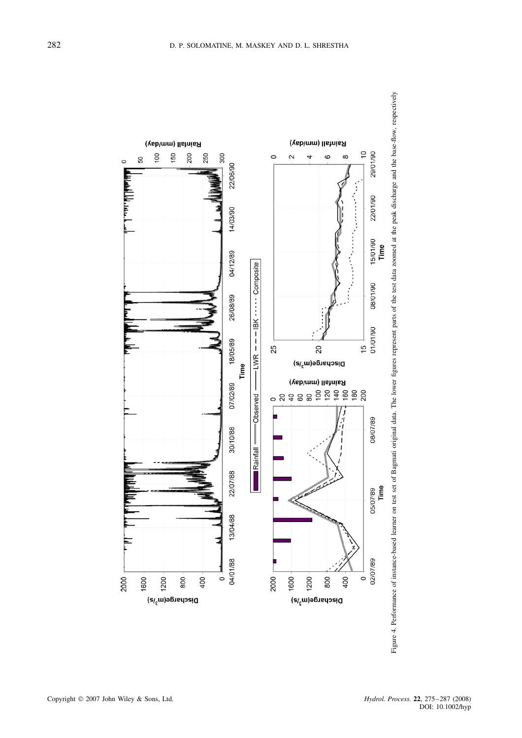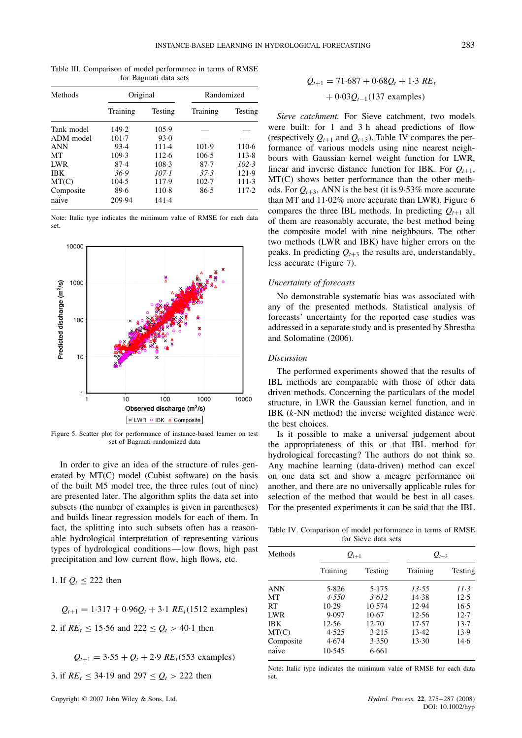Table III. Comparison of model performance in terms of RMSE for Bagmati data sets

| Methods    | Original |         | Randomized |         |  |
|------------|----------|---------|------------|---------|--|
|            | Training | Testing | Training   | Testing |  |
| Tank model | 149.2    | 105.9   |            |         |  |
| ADM model  | 101.7    | 93.0    |            |         |  |
| <b>ANN</b> | 93.4     | 111.4   | 101.9      | $110-6$ |  |
| MT         | 109.3    | 112.6   | 106.5      | 113.8   |  |
| <b>LWR</b> | 87.4     | 108.3   | 87.7       | 102.3   |  |
| <b>IBK</b> | 36.9     | 107.1   | 37.3       | 121.9   |  |
| MT(C)      | 104.5    | 117.9   | 102.7      | 111.3   |  |
| Composite  | 89.6     | $110-8$ | 86.5       | 117.2   |  |
| naive      | 209.94   | 141.4   |            |         |  |

Note: Italic type indicates the minimum value of RMSE for each data set.



Figure 5. Scatter plot for performance of instance-based learner on test set of Bagmati randomized data

In order to give an idea of the structure of rules generated by MT(C) model (Cubist software) on the basis of the built M5 model tree, the three rules (out of nine) are presented later. The algorithm splits the data set into subsets (the number of examples is given in parentheses) and builds linear regression models for each of them. In fact, the splitting into such subsets often has a reasonable hydrological interpretation of representing various types of hydrological conditions—low flows, high past precipitation and low current flow, high flows, etc.

1. If  $Q_t \leq 222$  then

 $Q_{t+1} = 1.317 + 0.96Q_t + 3.1$   $RE_t(1512$  examples)

2. if  $RE_t \le 15.56$  and  $222 \le Q_t > 40.1$  then

$$
Q_{t+1} = 3.55 + Q_t + 2.9
$$
 *RE<sub>t</sub>*(553 examples)

3. if  $RE_t \le 34.19$  and  $297 \le Q_t > 222$  then

$$
Q_{t+1} = 71.687 + 0.68Q_t + 1.3 RE_t
$$
  
+ 0.03Q<sub>t-1</sub>(137 examples)

*Sieve catchment.* For Sieve catchment, two models were built: for 1 and 3 h ahead predictions of flow (respectively  $Q_{t+1}$  and  $Q_{t+3}$ ). Table IV compares the performance of various models using nine nearest neighbours with Gaussian kernel weight function for LWR, linear and inverse distance function for IBK. For  $O_{t+1}$ , MT(C) shows better performance than the other methods. For  $Q_{t+3}$ , ANN is the best (it is 9.53% more accurate than MT and  $11.02\%$  more accurate than LWR). Figure 6 compares the three IBL methods. In predicting  $Q_{t+1}$  all of them are reasonably accurate, the best method being the composite model with nine neighbours. The other two methods (LWR and IBK) have higher errors on the peaks. In predicting  $Q_{t+3}$  the results are, understandably, less accurate (Figure 7).

# *Uncertainty of forecasts*

No demonstrable systematic bias was associated with any of the presented methods. Statistical analysis of forecasts' uncertainty for the reported case studies was addressed in a separate study and is presented by Shrestha and Solomatine (2006).

## *Discussion*

The performed experiments showed that the results of IBL methods are comparable with those of other data driven methods. Concerning the particulars of the model structure, in LWR the Gaussian kernel function, and in IBK (k-NN method) the inverse weighted distance were the best choices.

Is it possible to make a universal judgement about the appropriateness of this or that IBL method for hydrological forecasting? The authors do not think so. Any machine learning (data-driven) method can excel on one data set and show a meagre performance on another, and there are no universally applicable rules for selection of the method that would be best in all cases. For the presented experiments it can be said that the IBL

Table IV. Comparison of model performance in terms of RMSE for Sieve data sets

| <b>Methods</b> | $Q_{t+1}$ |         | $Q_{t+3}$ |         |  |
|----------------|-----------|---------|-----------|---------|--|
|                | Training  | Testing | Training  | Testing |  |
| <b>ANN</b>     | 5.826     | 5.175   | 13.55     | 11.3    |  |
| MT             | 4.550     | 3.612   | 14.38     | 12.5    |  |
| <b>RT</b>      | 10.29     | 10.574  | 12.94     | $16-5$  |  |
| <b>LWR</b>     | 9.097     | $10-67$ | 12.56     | 12.7    |  |
| <b>IBK</b>     | 12.56     | 12.70   | 17.57     | 13.7    |  |
| MT(C)          | 4.525     | 3.215   | 13.42     | 13.9    |  |
| Composite      | 4.674     | 3.350   | 13.30     | 14.6    |  |
| naive          | 10.545    | 6.661   |           |         |  |

Note: Italic type indicates the minimum value of RMSE for each data set.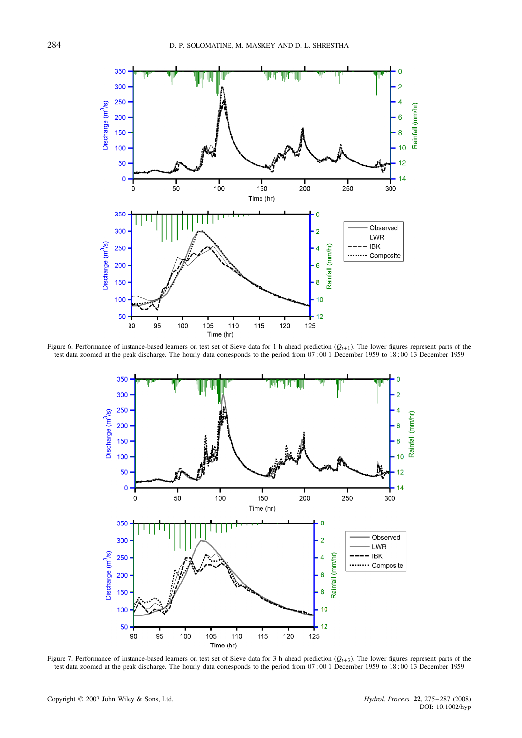

Figure 6. Performance of instance-based learners on test set of Sieve data for 1 h ahead prediction  $(Q_{t+1})$ . The lower figures represent parts of the test data zoomed at the peak discharge. The hourly data corresponds to the period from 07 : 00 1 December 1959 to 18 : 00 13 December 1959



Figure 7. Performance of instance-based learners on test set of Sieve data for 3 h ahead prediction  $(Q_{t+3})$ . The lower figures represent parts of the test data zoomed at the peak discharge. The hourly data corresponds to the period from 07 : 00 1 December 1959 to 18 : 00 13 December 1959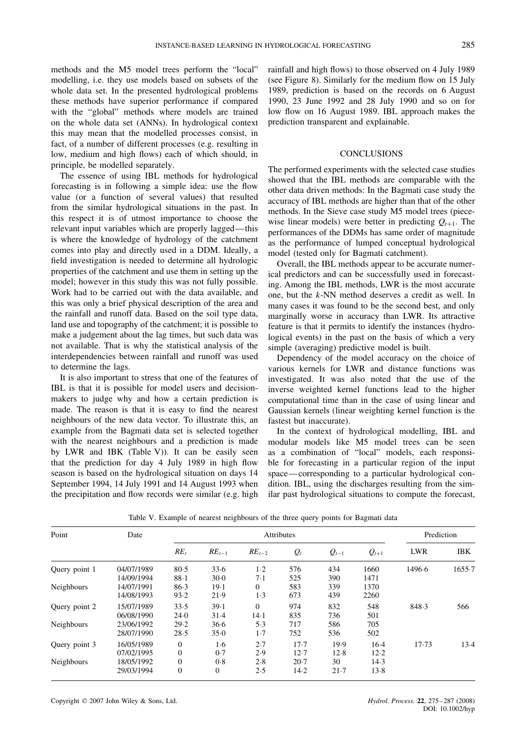methods and the M5 model trees perform the "local" modelling, i.e. they use models based on subsets of the whole data set. In the presented hydrological problems these methods have superior performance if compared with the "global" methods where models are trained on the whole data set (ANNs). In hydrological context this may mean that the modelled processes consist, in fact, of a number of different processes (e.g. resulting in low, medium and high flows) each of which should, in principle, be modelled separately.

The essence of using IBL methods for hydrological forecasting is in following a simple idea: use the flow value (or a function of several values) that resulted from the similar hydrological situations in the past. In this respect it is of utmost importance to choose the relevant input variables which are properly lagged—this is where the knowledge of hydrology of the catchment comes into play and directly used in a DDM. Ideally, a field investigation is needed to determine all hydrologic properties of the catchment and use them in setting up the model; however in this study this was not fully possible. Work had to be carried out with the data available, and this was only a brief physical description of the area and the rainfall and runoff data. Based on the soil type data, land use and topography of the catchment; it is possible to make a judgement about the lag times, but such data was not available. That is why the statistical analysis of the interdependencies between rainfall and runoff was used to determine the lags.

It is also important to stress that one of the features of IBL is that it is possible for model users and decisionmakers to judge why and how a certain prediction is made. The reason is that it is easy to find the nearest neighbours of the new data vector. To illustrate this, an example from the Bagmati data set is selected together with the nearest neighbours and a prediction is made by LWR and IBK (Table V)). It can be easily seen that the prediction for day 4 July 1989 in high flow season is based on the hydrological situation on days 14 September 1994, 14 July 1991 and 14 August 1993 when the precipitation and flow records were similar (e.g. high

rainfall and high flows) to those observed on 4 July 1989 (see Figure 8). Similarly for the medium flow on 15 July 1989, prediction is based on the records on 6 August 1990, 23 June 1992 and 28 July 1990 and so on for low flow on 16 August 1989. IBL approach makes the prediction transparent and explainable.

## **CONCLUSIONS**

The performed experiments with the selected case studies showed that the IBL methods are comparable with the other data driven methods: In the Bagmati case study the accuracy of IBL methods are higher than that of the other methods. In the Sieve case study M5 model trees (piecewise linear models) were better in predicting  $Q_{t+1}$ . The performances of the DDMs has same order of magnitude as the performance of lumped conceptual hydrological model (tested only for Bagmati catchment).

Overall, the IBL methods appear to be accurate numerical predictors and can be successfully used in forecasting. Among the IBL methods, LWR is the most accurate one, but the k-NN method deserves a credit as well. In many cases it was found to be the second best, and only marginally worse in accuracy than LWR. Its attractive feature is that it permits to identify the instances (hydrological events) in the past on the basis of which a very simple (averaging) predictive model is built.

Dependency of the model accuracy on the choice of various kernels for LWR and distance functions was investigated. It was also noted that the use of the inverse weighted kernel functions lead to the higher computational time than in the case of using linear and Gaussian kernels (linear weighting kernel function is the fastest but inaccurate).

In the context of hydrological modelling, IBL and modular models like M5 model trees can be seen as a combination of "local" models, each responsible for forecasting in a particular region of the input space—corresponding to a particular hydrological condition. IBL, using the discharges resulting from the similar past hydrological situations to compute the forecast,

| Point             | Date       | <b>Attributes</b> |            |              |        |           | Prediction |            |            |
|-------------------|------------|-------------------|------------|--------------|--------|-----------|------------|------------|------------|
|                   |            | $RE_t$            | $RE_{t-1}$ | $RE_{t-2}$   | $Q_t$  | $Q_{t-1}$ | $Q_{t+1}$  | <b>LWR</b> | <b>IBK</b> |
| Query point 1     | 04/07/1989 | 80.5              | 33.6       | $1-2$        | 576    | 434       | 1660       | 1496.6     | 1655.7     |
|                   | 14/09/1994 | 88.1              | $30-0$     | 7.1          | 525    | 390       | 1471       |            |            |
| Neighbours        | 14/07/1991 | 86.3              | 19.1       | $\mathbf{0}$ | 583    | 339       | 1370       |            |            |
|                   | 14/08/1993 | 93.2              | 21.9       | 1.3          | 673    | 439       | 2260       |            |            |
| Query point 2     | 15/07/1989 | 33.5              | 39.1       | $\theta$     | 974    | 832       | 548        | 848.3      | 566        |
|                   | 06/08/1990 | 24.0              | 31.4       | $14-1$       | 835    | 736       | 501        |            |            |
| <b>Neighbours</b> | 23/06/1992 | 29.2              | 36.6       | 5.3          | 717    | 586       | 705        |            |            |
|                   | 28/07/1990 | 28.5              | 35.0       | 1.7          | 752    | 536       | 502        |            |            |
| Query point 3     | 16/05/1989 | $\theta$<br>1·6   |            | 2.7          | $17-7$ | 19.9      | $16-4$     | 17.73      | 13.4       |
|                   | 07/02/1995 | $\Omega$          | 0.7        | 2.9          | 12.7   | 12.8      | 12.2       |            |            |
| Neighbours        | 18/05/1992 | $\theta$          | 0.8        | 2.8          | $20-7$ | 30        | 14.3       |            |            |
|                   | 29/03/1994 | $\theta$          | 0          | 2.5          | 14.2   | $21-7$    | 13.8       |            |            |

Table V. Example of nearest neighbours of the three query points for Bagmati data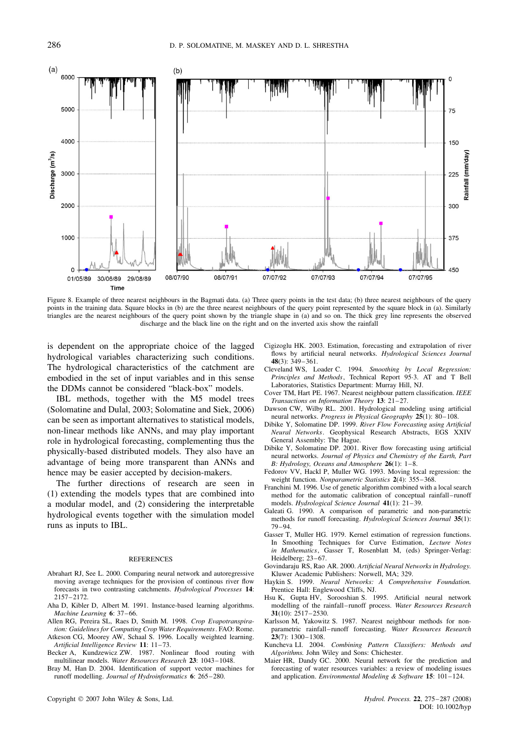

Figure 8. Example of three nearest neighbours in the Bagmati data. (a) Three query points in the test data; (b) three nearest neighbours of the query points in the training data. Square blocks in (b) are the three nearest neighbours of the query point represented by the square block in (a). Similarly triangles are the nearest neighbours of the query point shown by the triangle shape in (a) and so on. The thick grey line represents the observed discharge and the black line on the right and on the inverted axis show the rainfall

is dependent on the appropriate choice of the lagged hydrological variables characterizing such conditions. The hydrological characteristics of the catchment are embodied in the set of input variables and in this sense the DDMs cannot be considered "black-box" models.

IBL methods, together with the M5 model trees (Solomatine and Dulal, 2003; Solomatine and Siek, 2006) can be seen as important alternatives to statistical models, non-linear methods like ANNs, and may play important role in hydrological forecasting, complementing thus the physically-based distributed models. They also have an advantage of being more transparent than ANNs and hence may be easier accepted by decision-makers.

The further directions of research are seen in (1) extending the models types that are combined into a modular model, and (2) considering the interpretable hydrological events together with the simulation model runs as inputs to IBL.

#### **REFERENCES**

- Abrahart RJ, See L. 2000. Comparing neural network and autoregressive moving average techniques for the provision of continous river flow forecasts in two contrasting catchments. *Hydrological Processes* **14**: 2157–2172.
- Aha D, Kibler D, Albert M. 1991. Instance-based learning algorithms. *Machine Learning* **6**: 37–66.
- Allen RG, Pereira SL, Raes D, Smith M. 1998. *Crop Evapotranspiration: Guidelines for Computing Crop Water Requirements*. FAO: Rome.
- Atkeson CG, Moorey AW, Schaal S. 1996. Locally weighted learning. *Artificial Intelligence Review* **11**: 11–73.
- Becker A, Kundzewicz ZW. 1987. Nonlinear flood routing with multilinear models. *Water Resources Research* **23**: 1043–1048.
- Bray M, Han D. 2004. Identification of support vector machines for runoff modelling. *Journal of Hydroinformatics* **6**: 265–280.
- Cigizoglu HK. 2003. Estimation, forecasting and extrapolation of river flows by artificial neural networks. *Hydrological Sciences Journal* **48**(3): 349–361.
- Cleveland WS, Loader C. 1994. *Smoothing by Local Regression:* Principles and Methods, Technical Report 95<sup>3</sup>. AT and T Bell Laboratories, Statistics Department: Murray Hill, NJ.
- Cover TM, Hart PE. 1967. Nearest neighbour pattern classification. *IEEE Transactions on Information Theory* **13**: 21–27.
- Dawson CW, Wilby RL. 2001. Hydrological modeling using artificial neural networks. *Progress in Physical Geography* **25**(1): 80–108.
- Dibike Y, Solomatine DP. 1999. *River Flow Forecasting using Artificial Neural Networks*. Geophysical Research Abstracts, EGS XXIV General Assembly: The Hague.
- Dibike Y, Solomatine DP. 2001. River flow forecasting using artificial neural networks. *Journal of Physics and Chemistry of the Earth, Part B: Hydrology, Oceans and Atmosphere* **26**(1): 1–8.
- Fedorov VV, Hackl P, Muller WG. 1993. Moving local regression: the weight function. *Nonparametric Statistics* **2**(4): 355–368.
- Franchini M. 1996. Use of genetic algorithm combined with a local search method for the automatic calibration of conceptual rainfall–runoff models. *Hydrological Science Journal* **41**(1): 21–39.
- Galeati G. 1990. A comparison of parametric and non-parametric methods for runoff forecasting. *Hydrological Sciences Journal* **35**(1): 79–94.
- Gasser T, Muller HG. 1979. Kernel estimation of regression functions. In Smoothing Techniques for Curve Estimation, *Lecture Notes in Mathematics*, Gasser T, Rosenblatt M, (eds) Springer-Verlag: Heidelberg; 23–67.
- Govindaraju RS, Rao AR. 2000. *Artificial Neural Networks in Hydrology.* Kluwer Academic Publishers: Norwell, MA; 329.
- Haykin S. 1999. *Neural Networks: A Comprehensive Foundation.* Prentice Hall: Englewood Cliffs, NJ.
- Hsu K, Gupta HV, Sorooshian S. 1995. Artificial neural network modelling of the rainfall–runoff process. *Water Resources Research* **31**(10): 2517–2530.
- Karlsson M, Yakowitz S. 1987. Nearest neighbour methods for nonparametric rainfall–runoff forecasting. *Water Resources Research* **23**(7): 1300–1308.
- Kuncheva LI. 2004. *Combining Pattern Classifiers: Methods and Algorithms.* John Wiley and Sons: Chichester.
- Maier HR, Dandy GC. 2000. Neural network for the prediction and forecasting of water resources variables: a review of modeling issues and application. *Environmental Modeling & Software* **15**: 101–124.